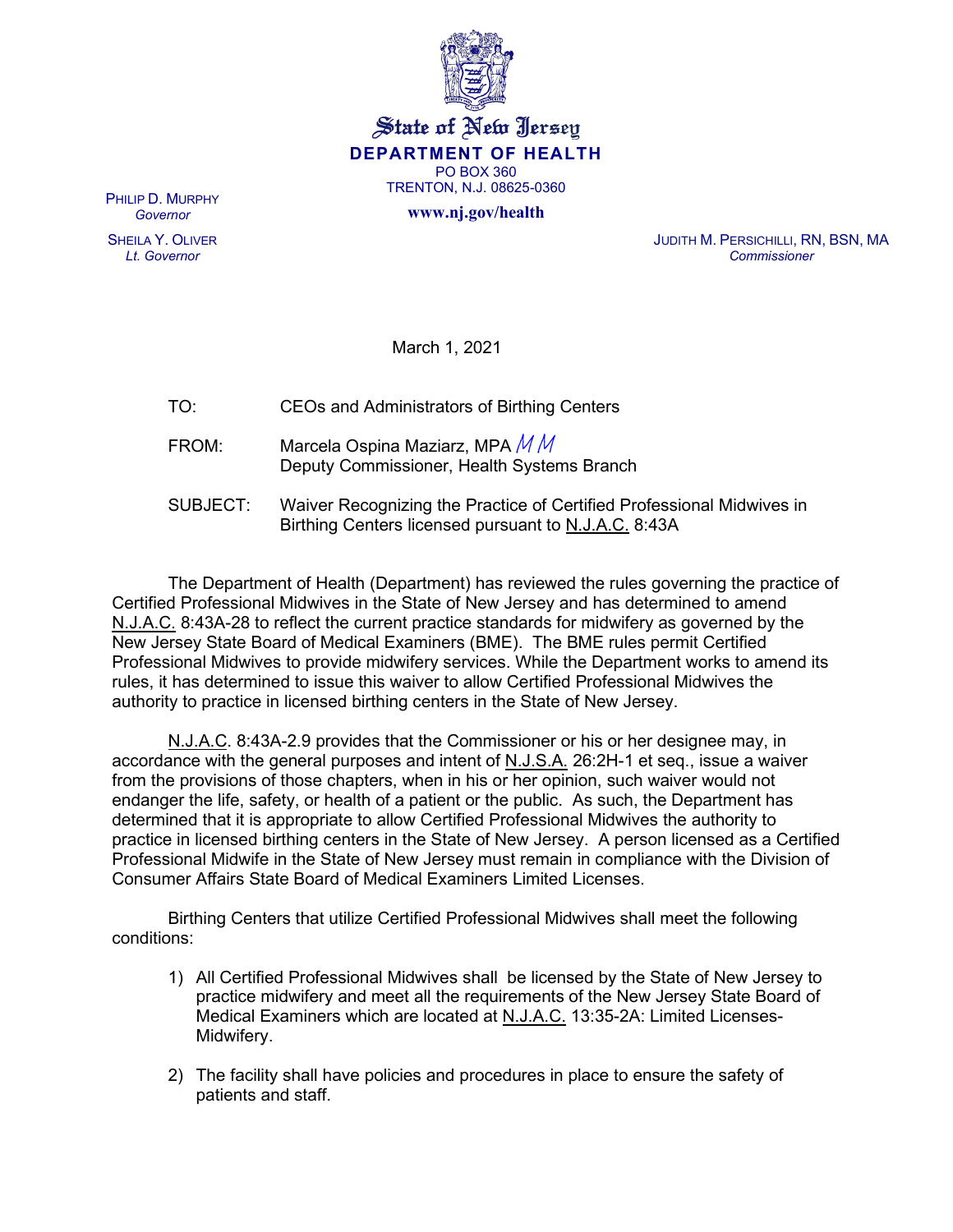

State of New Jersey **DEPARTMENT OF HEALTH** PO BOX 360 TRENTON, N.J. 08625-0360

**www.nj.gov/health** 

PHILIP D. MURPHY *Governor*

SHEILA Y. OLIVER *Lt. Governor*

JUDITH M. PERSICHILLI, RN, BSN, MA *Commissioner*

March 1, 2021

| TO:      | CEOs and Administrators of Birthing Centers                                                                                   |
|----------|-------------------------------------------------------------------------------------------------------------------------------|
| FROM:    | Marcela Ospina Maziarz, MPA $M M$<br>Deputy Commissioner, Health Systems Branch                                               |
| SUBJECT: | Waiver Recognizing the Practice of Certified Professional Midwives in<br>Birthing Centers licensed pursuant to N.J.A.C. 8:43A |

The Department of Health (Department) has reviewed the rules governing the practice of Certified Professional Midwives in the State of New Jersey and has determined to amend N.J.A.C. 8:43A-28 to reflect the current practice standards for midwifery as governed by the New Jersey State Board of Medical Examiners (BME). The BME rules permit Certified Professional Midwives to provide midwifery services. While the Department works to amend its rules, it has determined to issue this waiver to allow Certified Professional Midwives the authority to practice in licensed birthing centers in the State of New Jersey.

N.J.A.C. 8:43A-2.9 provides that the Commissioner or his or her designee may, in accordance with the general purposes and intent of N.J.S.A. 26:2H-1 et seq., issue a waiver from the provisions of those chapters, when in his or her opinion, such waiver would not endanger the life, safety, or health of a patient or the public. As such, the Department has determined that it is appropriate to allow Certified Professional Midwives the authority to practice in licensed birthing centers in the State of New Jersey. A person licensed as a Certified Professional Midwife in the State of New Jersey must remain in compliance with the Division of Consumer Affairs State Board of Medical Examiners Limited Licenses.

Birthing Centers that utilize Certified Professional Midwives shall meet the following conditions:

- 1) All Certified Professional Midwives shall be licensed by the State of New Jersey to practice midwifery and meet all the requirements of the New Jersey State Board of Medical Examiners which are located at N.J.A.C. 13:35-2A: Limited Licenses-Midwifery.
- 2) The facility shall have policies and procedures in place to ensure the safety of patients and staff.